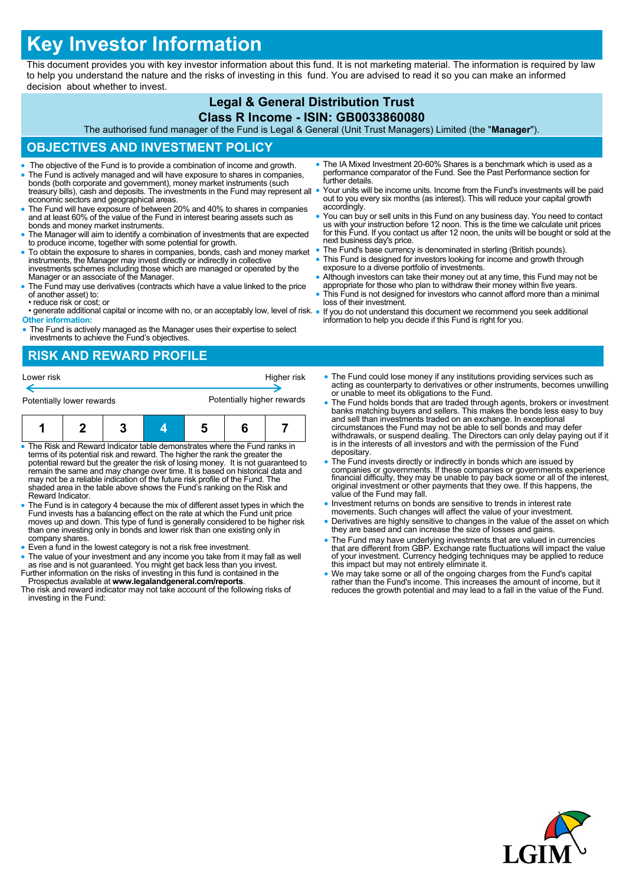# **Key Investor Information**

This document provides you with key investor information about this fund. It is not marketing material. The information is required by law to help you understand the nature and the risks of investing in this fund. You are advised to read it so you can make an informed decision about whether to invest.

## **Legal & General Distribution Trust**

#### **Class R Income - ISIN: GB0033860080**

The authorised fund manager of the Fund is Legal & General (Unit Trust Managers) Limited (the "**Manager**").

#### **OBJECTIVES AND INVESTMENT POLICY**

- The objective of the Fund is to provide a combination of income and growth.
- The Fund is actively managed and will have exposure to shares in companies, bonds (both corporate and government), money market instruments (such treasury bills), cash and deposits. The investments in the Fund may represent all economic sectors and geographical areas.
- The Fund will have exposure of between 20% and 40% to shares in companies and at least 60% of the value of the Fund in interest bearing assets such as bonds and money market instruments.
- The Manager will aim to identify a combination of investments that are expected to produce income, together with some potential for growth.
- To obtain the exposure to shares in companies, bonds, cash and money market instruments, the Manager may invest directly or indirectly in collective investments schemes including those which are managed or operated by the Manager or an associate of the Manager.
- The Fund may use derivatives (contracts which have a value linked to the price of another asset) to:
- reduce risk or cost; or
- generate additional capital or income with no, or an acceptably low, level of risk. **Other information:**
- The Fund is actively managed as the Manager uses their expertise to select investments to achieve the Fund's objectives.

#### **RISK AND REWARD PROFILE**

| Lower risk                |  |  |  | Higher risk                |  |  |
|---------------------------|--|--|--|----------------------------|--|--|
| Potentially lower rewards |  |  |  | Potentially higher rewards |  |  |
|                           |  |  |  |                            |  |  |

| • The Risk and Reward Indicator table demonstrates where the Fund ranks in         |  |  |  |  |  |  |  |  |
|------------------------------------------------------------------------------------|--|--|--|--|--|--|--|--|
| terms of its potential risk and reward. The higher the rank the greater the        |  |  |  |  |  |  |  |  |
| potential reward but the greater the risk of losing money. It is not quaranteed to |  |  |  |  |  |  |  |  |
| remain the same and may change over time. It is based on historical data and       |  |  |  |  |  |  |  |  |
| may not be a reliable indication of the future risk profile of the Fund. The       |  |  |  |  |  |  |  |  |
| shaded area in the table above shows the Fund's ranking on the Risk and            |  |  |  |  |  |  |  |  |
| Reward Indicator.                                                                  |  |  |  |  |  |  |  |  |

- The Fund is in category 4 because the mix of different asset types in which the Fund invests has a balancing effect on the rate at which the Fund unit price moves up and down. This type of fund is generally considered to be higher risk than one investing only in bonds and lower risk than one existing only in company shares.
- Even a fund in the lowest category is not a risk free investment.
- The value of your investment and any income you take from it may fall as well
- as rise and is not guaranteed. You might get back less than you invest. Further information on the risks of investing in this fund is contained in the Prospectus available at **www.legalandgeneral.com/reports**. The risk and reward indicator may not take account of the following risks of
- investing in the Fund:
- The IA Mixed Investment 20-60% Shares is a benchmark which is used as a performance comparator of the Fund. See the Past Performance section for further details.
- Your units will be income units. Income from the Fund's investments will be paid out to you every six months (as interest). This will reduce your capital growth accordingly.
- You can buy or sell units in this Fund on any business day. You need to contact us with your instruction before 12 noon. This is the time we calculate unit prices for this Fund. If you contact us after 12 noon, the units will be bought or sold at the next business day's price.
- The Fund's base currency is denominated in sterling (British pounds).
- This Fund is designed for investors looking for income and growth through exposure to a diverse portfolio of investments.
- Although investors can take their money out at any time, this Fund may not be appropriate for those who plan to withdraw their money within five years.
- This Fund is not designed for investors who cannot afford more than a minimal loss of their investment.
- If you do not understand this document we recommend you seek additional information to help you decide if this Fund is right for you.
- The Fund could lose money if any institutions providing services such as acting as counterparty to derivatives or other instruments, becomes unwilling or unable to meet its obligations to the Fund.
- The Fund holds bonds that are traded through agents, brokers or investment banks matching buyers and sellers. This makes the bonds less easy to buy and sell than investments traded on an exchange. In exceptional circumstances the Fund may not be able to sell bonds and may defer withdrawals, or suspend dealing. The Directors can only delay paying out if it is in the interests of all investors and with the permission of the Fund depositary.
- The Fund invests directly or indirectly in bonds which are issued by companies or governments. If these companies or governments experience financial difficulty, they may be unable to pay back some or all of the interest, original investment or other payments that they owe. If this happens, the value of the Fund may fall.
- Investment returns on bonds are sensitive to trends in interest rate movements. Such changes will affect the value of your investment.
- Derivatives are highly sensitive to changes in the value of the asset on which they are based and can increase the size of losses and gains.
- The Fund may have underlying investments that are valued in currencies that are different from GBP. Exchange rate fluctuations will impact the value of your investment. Currency hedging techniques may be applied to reduce this impact but may not entirely eliminate it.
- We may take some or all of the ongoing charges from the Fund's capital rather than the Fund's income. This increases the amount of income, but it reduces the growth potential and may lead to a fall in the value of the Fund.